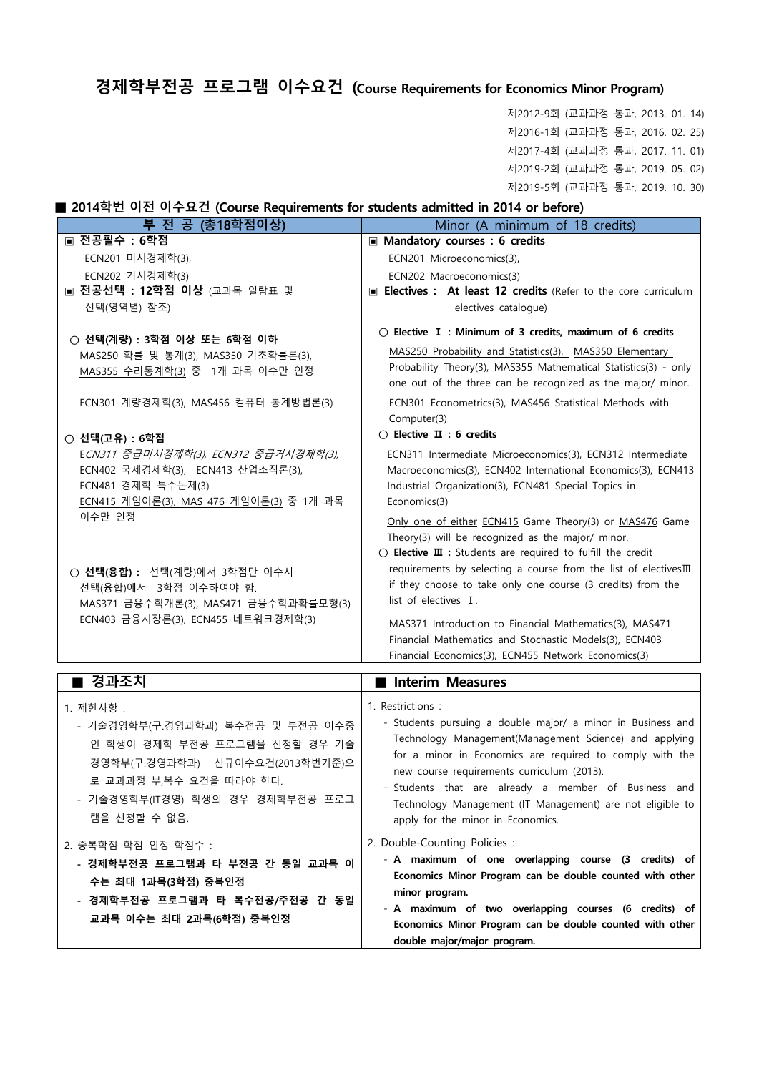# **경제학부전공 프로그램 이수요건 (Course Requirements for Economics Minor Program)**

제2012-9회 (교과과정 통과, 2013. 01. 14) 제2016-1회 (교과과정 통과, 2016. 02. 25) 제2017-4회 (교과과정 통과, 2017. 11. 01) 제2019-2회 (교과과정 통과, 2019. 05. 02) 제2019-5회 (교과과정 통과, 2019. 10. 30)

#### **■ 2014학번 이전 이수요건 (Course Requirements for students admitted in 2014 or before)**

| 부 전 공 (총18학점이상)                                                                                                                                                                     | Minor (A minimum of 18 credits)                                                                                                                                                                                                                                                                                                                                                           |
|-------------------------------------------------------------------------------------------------------------------------------------------------------------------------------------|-------------------------------------------------------------------------------------------------------------------------------------------------------------------------------------------------------------------------------------------------------------------------------------------------------------------------------------------------------------------------------------------|
| ■ 전공필수 : 6학점                                                                                                                                                                        | Mandatory courses : 6 credits                                                                                                                                                                                                                                                                                                                                                             |
| ECN201 미시경제학(3),                                                                                                                                                                    | ECN201 Microeconomics(3),                                                                                                                                                                                                                                                                                                                                                                 |
| ECN202 거시경제학(3)                                                                                                                                                                     | ECN202 Macroeconomics(3)                                                                                                                                                                                                                                                                                                                                                                  |
| ■ 전공선택 : 12학점 이상 (교과목 일람표 및                                                                                                                                                         | E Electives : At least 12 credits (Refer to the core curriculum                                                                                                                                                                                                                                                                                                                           |
| 선택(영역별) 참조)                                                                                                                                                                         | electives catalogue)                                                                                                                                                                                                                                                                                                                                                                      |
| ○ 선택(계량) : 3학점 이상 또는 6학점 이하                                                                                                                                                         | $\bigcirc$ Elective I : Minimum of 3 credits, maximum of 6 credits                                                                                                                                                                                                                                                                                                                        |
| MAS250 확률 및 통계(3), MAS350 기초확률론(3),<br>MAS355 수리통계학(3) 중 1개 과목 이수만 인정                                                                                                               | MAS250 Probability and Statistics(3), MAS350 Elementary<br>Probability Theory(3), MAS355 Mathematical Statistics(3) - only<br>one out of the three can be recognized as the major/ minor.                                                                                                                                                                                                 |
| ECN301 계량경제학(3), MAS456 컴퓨터 통계방법론(3)                                                                                                                                                | ECN301 Econometrics(3), MAS456 Statistical Methods with<br>Computer(3)                                                                                                                                                                                                                                                                                                                    |
| ○ 선택(고유) : 6학점                                                                                                                                                                      | $\bigcirc$ Elective $\mathbf{\Pi}$ : 6 credits                                                                                                                                                                                                                                                                                                                                            |
| ECN311 중급미시경제학(3), ECN312 중급거시경제학(3),<br>ECN402 국제경제학(3), ECN413 산업조직론(3),<br>ECN481 경제학 특수논제(3)<br>ECN415 게임이론(3), MAS 476 게임이론(3) 중 1개 과목                                         | ECN311 Intermediate Microeconomics(3), ECN312 Intermediate<br>Macroeconomics(3), ECN402 International Economics(3), ECN413<br>Industrial Organization(3), ECN481 Special Topics in<br>Economics(3)                                                                                                                                                                                        |
| 이수만 인정<br>○ 선택(융합) : 선택(계량)에서 3학점만 이수시<br>선택(융합)에서 3학점 이수하여야 함.<br>MAS371 금융수학개론(3), MAS471 금융수학과확률모형(3)                                                                            | Only one of either ECN415 Game Theory(3) or MAS476 Game<br>Theory(3) will be recognized as the major/ minor.<br>$\bigcirc$ Elective $\mathbf{I}$ : Students are required to fulfill the credit<br>requirements by selecting a course from the list of electivesIII<br>if they choose to take only one course (3 credits) from the<br>list of electives I.                                 |
| ECN403 금융시장론(3), ECN455 네트워크경제학(3)                                                                                                                                                  | MAS371 Introduction to Financial Mathematics(3), MAS471<br>Financial Mathematics and Stochastic Models(3), ECN403<br>Financial Economics(3), ECN455 Network Economics(3)                                                                                                                                                                                                                  |
| ■ 경과조치                                                                                                                                                                              | Interim Measures                                                                                                                                                                                                                                                                                                                                                                          |
| 1. 제한사항 :                                                                                                                                                                           | 1. Restrictions :                                                                                                                                                                                                                                                                                                                                                                         |
| - 기술경영학부(구.경영과학과) 복수전공 및 부전공 이수중<br>인 학생이 경제학 부전공 프로그램을 신청할 경우 기술<br>경영학부(구.경영과학과) 신규이수요건(2013학번기준)으<br>로 교과과정 부,복수 요건을 따라야 한다.<br>- 기술경영학부(IT경영) 학생의 경우 경제학부전공 프로그<br>램을 신청할 수 없음. | - Students pursuing a double major/ a minor in Business and<br>Technology Management(Management Science) and applying<br>for a minor in Economics are required to comply with the<br>new course requirements curriculum (2013).<br>- Students that are already a member of Business and<br>Technology Management (IT Management) are not eligible to<br>apply for the minor in Economics. |
| 2. 중복학점 학점 인정 학점수 :<br>- 경제학부전공 프로그램과 타 부전공 간 동일 교과목 이<br>수는 최대 1과목(3학점) 중복인정<br>경제학부전공 프로그램과 타 복수전공/주전공 간 동일<br>$\blacksquare$                                                     | 2. Double-Counting Policies :<br>- A maximum of one overlapping course (3 credits) of<br>Economics Minor Program can be double counted with other<br>minor program.<br>- A maximum of two overlapping courses (6 credits) of                                                                                                                                                              |
| 교과목 이수는 최대 2과목(6학점) 중복인정                                                                                                                                                            | Economics Minor Program can be double counted with other<br>double major/major program.                                                                                                                                                                                                                                                                                                   |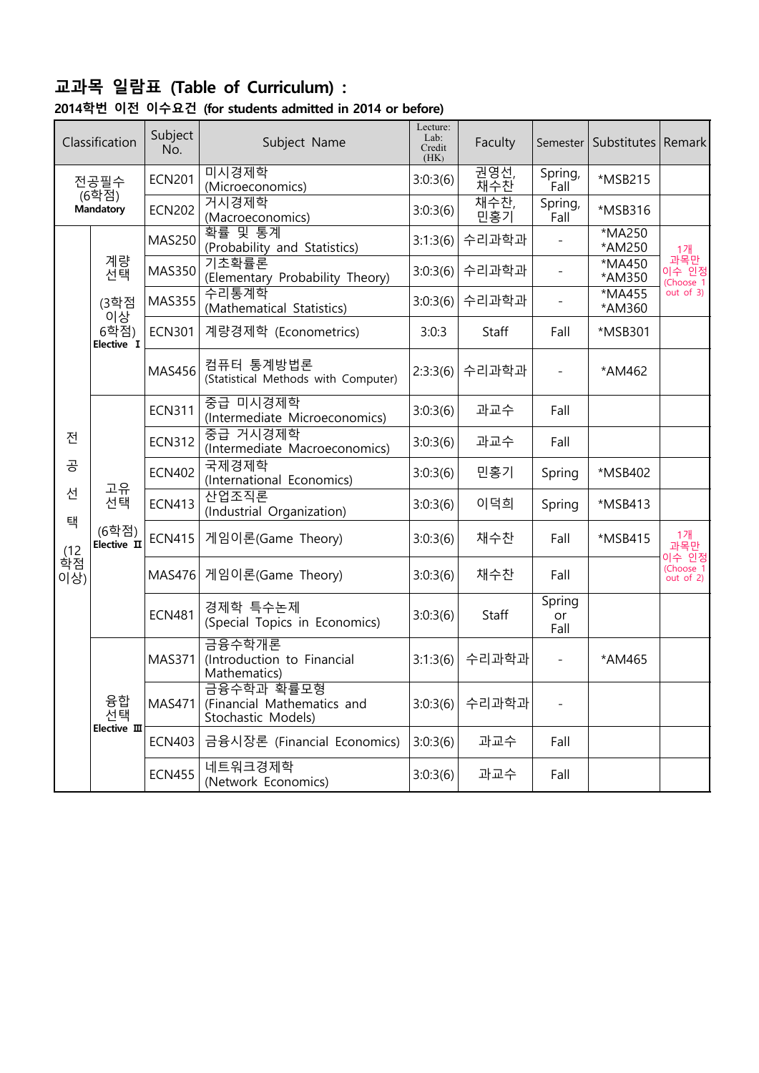# **교과목 일람표 (Table of Curriculum) :**

| 2014학번 이전 이수요건 (for students admitted in 2014 or before) |  |  |  |  |  |
|----------------------------------------------------------|--|--|--|--|--|
|----------------------------------------------------------|--|--|--|--|--|

|           | Classification           | Subject<br>No.                     | Subject Name                                                   | Lecture:<br>Lab:<br>Credit<br>(HK) | Faculty     | Semester               | Substitutes      | Remark                    |
|-----------|--------------------------|------------------------------------|----------------------------------------------------------------|------------------------------------|-------------|------------------------|------------------|---------------------------|
|           | 전공필수                     | <b>ECN201</b>                      | 미시경제학<br>(Microeconomics)                                      | 3:0:3(6)                           | 권영선,<br>재수찬 | Spring,<br>Fall        | *MSB215          |                           |
|           | (6학점)<br>Mandatory       | <b>ECN202</b>                      | 거시경제학<br>(Macroeconomics)                                      | 3:0:3(6)                           | 재수찬,<br>민홍기 | Spring,<br><b>Fall</b> | *MSB316          |                           |
|           |                          | <b>MAS250</b>                      | 확률 및 통계<br>(Probability and Statistics)                        | 3:1:3(6)                           | 수리과학과       |                        | *MA250<br>*AM250 | 1개                        |
|           | 계량<br>선택                 | <b>MAS350</b>                      | 기초확률론<br>(Elementary Probability Theory)                       | 3:0:3(6)                           | 수리과학과       |                        | *MA450<br>*AM350 | 과목만<br>이수 인정<br>(Choose 1 |
|           | (3학점<br>이상               | <b>MAS355</b>                      | 수리통계학<br>(Mathematical Statistics)                             | 3:0:3(6)                           | 수리과학과       |                        | *MA455<br>*AM360 | $out$ of 3)               |
|           | 6학점)<br>Elective I       | <b>ECN301</b>                      | 계량경제학 (Econometrics)                                           | 3:0:3                              | Staff       | Fall                   | *MSB301          |                           |
|           |                          | <b>MAS456</b>                      | 컴퓨터 통계방법론<br>(Statistical Methods with Computer)               | 2:3:3(6)                           | 수리과학과       |                        | *AM462           |                           |
|           |                          | <b>ECN311</b>                      | 중급 미시경제학<br>(Intermediate Microeconomics)                      | 3:0:3(6)                           | 과교수         | Fall                   |                  |                           |
| 전         |                          | <b>ECN312</b>                      | 중급 거시경제학<br>(Intermediate Macroeconomics)                      | 3:0:3(6)                           | 과교수         | Fall                   |                  |                           |
| 공         | <b>ECN402</b>            | 국제경제학<br>(International Economics) | 3:0:3(6)                                                       | 민홍기                                | Spring      | *MSB402                |                  |                           |
| 선         | 고유<br>선택                 | <b>ECN413</b>                      | 산업조직론<br>(Industrial Organization)                             | 3:0:3(6)                           | 이덕희         | Spring                 | *MSB413          |                           |
| 택<br>(12) | (6학점)<br>Elective II     | <b>ECN415</b>                      | 게임이론(Game Theory)                                              | 3:0:3(6)                           | 채수찬         | Fall                   | *MSB415          | 1개<br>과목만<br>이수 인정        |
| 학점<br>이상) |                          | MAS476                             | 게임이론(Game Theory)                                              | 3:0:3(6)                           | 채수찬         | Fall                   |                  | (Choose 1<br>out of $2$ ) |
|           |                          | <b>ECN481</b>                      | 경제학 특수논제<br>(Special Topics in Economics)                      | 3:0:3(6)                           | Staff       | Spring<br>or<br>Fall   |                  |                           |
|           |                          | <b>MAS371</b>                      | 금융수학개론<br>(Introduction to Financial<br>Mathematics)           | 3:1:3(6)                           | 수리과학과       |                        | *AM465           |                           |
|           | 융합<br>선택<br>Elective III | <b>MAS471</b>                      | 금융수학과 확률모형<br>(Financial Mathematics and<br>Stochastic Models) | 3:0:3(6)                           | 수리과학과       |                        |                  |                           |
|           |                          | <b>ECN403</b>                      | 금융시장론 (Financial Economics)                                    | 3:0:3(6)                           | 과교수         | Fall                   |                  |                           |
|           |                          | <b>ECN455</b>                      | 네트워크경제학<br>(Network Economics)                                 | 3:0:3(6)                           | 과교수         | Fall                   |                  |                           |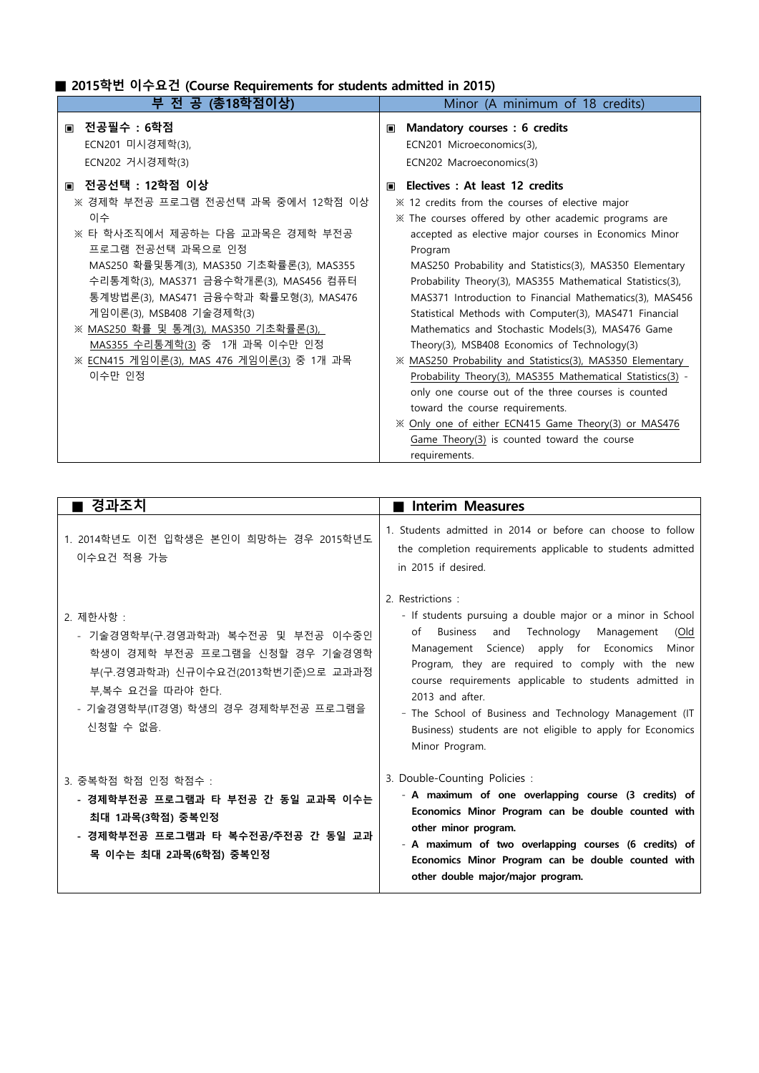#### **■ 2015학번 이수요건 (Course Requirements for students admitted in 2015)**

| 부 전 공 (총18학점이상)                                                                                                                                                                                                                                                                                                                                                                                                    | Minor (A minimum of 18 credits)                                                                                                                                                                                                                                                                                                                                                                                                                                                                                                                                                                                                                                                                                                                                                                                                                                                                                           |
|--------------------------------------------------------------------------------------------------------------------------------------------------------------------------------------------------------------------------------------------------------------------------------------------------------------------------------------------------------------------------------------------------------------------|---------------------------------------------------------------------------------------------------------------------------------------------------------------------------------------------------------------------------------------------------------------------------------------------------------------------------------------------------------------------------------------------------------------------------------------------------------------------------------------------------------------------------------------------------------------------------------------------------------------------------------------------------------------------------------------------------------------------------------------------------------------------------------------------------------------------------------------------------------------------------------------------------------------------------|
| ■ 전공필수 : 6학점<br>ECN201 미시경제학(3),<br>ECN202 거시경제학(3)                                                                                                                                                                                                                                                                                                                                                                | Mandatory courses : 6 credits<br>$\blacksquare$<br>ECN201 Microeconomics(3),<br>ECN202 Macroeconomics(3)                                                                                                                                                                                                                                                                                                                                                                                                                                                                                                                                                                                                                                                                                                                                                                                                                  |
| ■ 전공선택 : 12학점 이상<br>※ 경제학 부전공 프로그램 전공선택 과목 중에서 12학점 이상<br>이수<br>※ 타 학사조직에서 제공하는 다음 교과목은 경제학 부전공<br>프로그램 전공선택 과목으로 인정<br>MAS250 확률및통계(3), MAS350 기초확률론(3), MAS355<br>수리통계학(3), MAS371 금융수학개론(3), MAS456 컴퓨터<br>통계방법론(3), MAS471 금융수학과 확률모형(3), MAS476<br>게임이론(3), MSB408 기술경제학(3)<br>※ MAS250 확률 및 통계(3), MAS350 기초확률론(3),<br>MAS355 수리통계학(3) 중 1개 과목 이수만 인정<br>※ ECN415 게임이론(3), MAS 476 게임이론(3) 중 1개 과목<br>이수만 인정 | ■ Electives : At least 12 credits<br>imes ≭ 12 credits from the courses of elective major<br>* The courses offered by other academic programs are<br>accepted as elective major courses in Economics Minor<br>Program<br>MAS250 Probability and Statistics(3), MAS350 Elementary<br>Probability Theory(3), MAS355 Mathematical Statistics(3),<br>MAS371 Introduction to Financial Mathematics(3), MAS456<br>Statistical Methods with Computer(3), MAS471 Financial<br>Mathematics and Stochastic Models(3), MAS476 Game<br>Theory(3), MSB408 Economics of Technology(3)<br>* MAS250 Probability and Statistics(3), MAS350 Elementary<br>Probability Theory(3), MAS355 Mathematical Statistics(3) -<br>only one course out of the three courses is counted<br>toward the course requirements.<br>X Only one of either ECN415 Game Theory(3) or MAS476<br>$Game$ Theory $(3)$ is counted toward the course<br>requirements. |

| ■ 경과조치                                                                                                                                                                                        | Interim Measures                                                                                                                                                                                                                                                                                                                                                                                                                                                                |
|-----------------------------------------------------------------------------------------------------------------------------------------------------------------------------------------------|---------------------------------------------------------------------------------------------------------------------------------------------------------------------------------------------------------------------------------------------------------------------------------------------------------------------------------------------------------------------------------------------------------------------------------------------------------------------------------|
| 1. 2014학년도 이전 입학생은 본인이 희망하는 경우 2015학년도<br>이수요건 적용 가능                                                                                                                                          | 1. Students admitted in 2014 or before can choose to follow<br>the completion requirements applicable to students admitted<br>in 2015 if desired.                                                                                                                                                                                                                                                                                                                               |
| 2. 제한사항 :<br>- 기술경영학부(구.경영과학과) 복수전공 및 부전공 이수중인<br>학생이 경제학 부전공 프로그램을 신청할 경우 기술경영학<br>부(구.경영과학과) 신규이수요건(2013학번기준)으로 교과과정<br>부,복수 요건을 따라야 한다.<br>- 기술경영학부(IT경영) 학생의 경우 경제학부전공 프로그램을<br>신청할 수 없음. | 2. Restrictions:<br>- If students pursuing a double major or a minor in School<br>and Technology Management<br><b>Business</b><br>of<br>(Old<br>Science) apply for Economics<br>Management<br>Minor<br>Program, they are required to comply with the new<br>course requirements applicable to students admitted in<br>2013 and after.<br>- The School of Business and Technology Management (IT<br>Business) students are not eligible to apply for Economics<br>Minor Program. |
| 3. 중복학점 학점 인정 학점수 :<br>- 경제학부전공 프로그램과 타 부전공 간 동일 교과목 이수는<br>최대 1과목(3학점) 중복인정<br>- 경제학부전공 프로그램과 타 복수전공/주전공 간 동일 교과<br>목 이수는 최대 2과목(6학점) 중복인정                                                   | 3. Double-Counting Policies :<br>- A maximum of one overlapping course (3 credits) of<br>Economics Minor Program can be double counted with<br>other minor program.<br>- A maximum of two overlapping courses (6 credits) of<br>Economics Minor Program can be double counted with<br>other double major/major program.                                                                                                                                                         |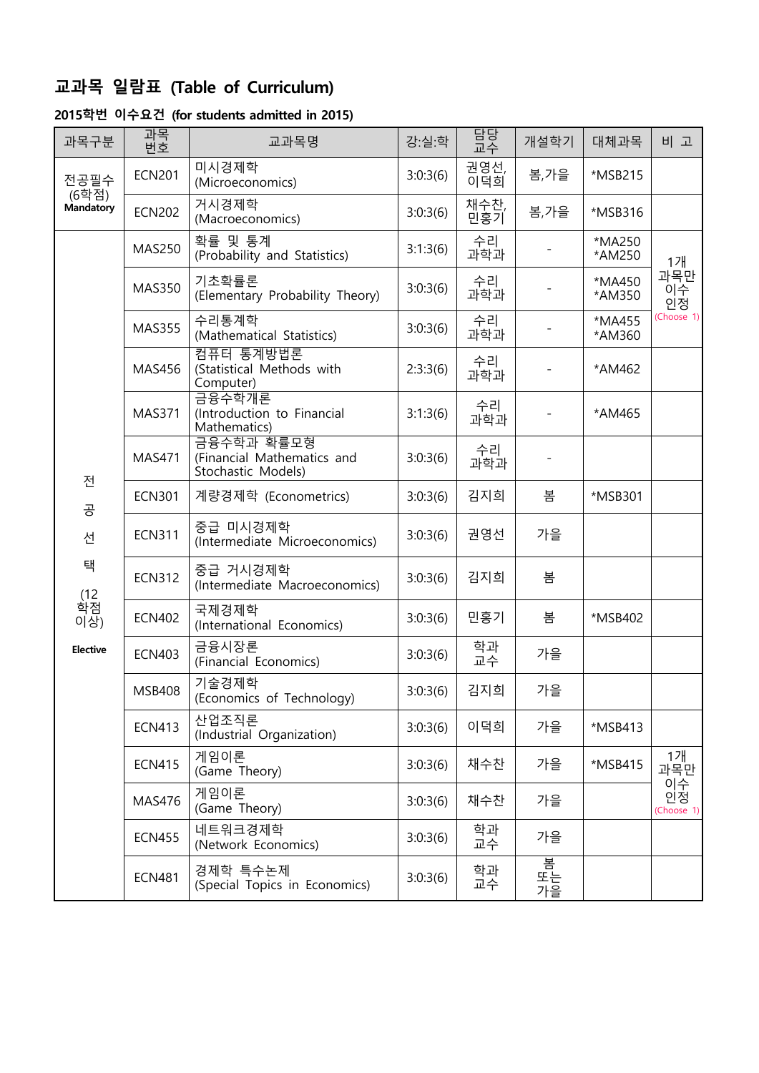## **교과목 일람표 (Table of Curriculum)**

#### **2015학번 이수요건 (for students admitted in 2015)**

| 과목구분               | 과목<br>번호      | 교과목명                                                           | 강:실:학    | 담당<br>교수    | 개설학기          | 대체과목             | 비 고                    |
|--------------------|---------------|----------------------------------------------------------------|----------|-------------|---------------|------------------|------------------------|
| 전공필수               | <b>ECN201</b> | 미시경제학<br>(Microeconomics)                                      | 3:0:3(6) | 권영선,<br>이덕희 | 봄,가을          | *MSB215          |                        |
| (6학점)<br>Mandatory | <b>ECN202</b> | 거시경제학<br>(Macroeconomics)                                      | 3:0:3(6) | 채수찬,<br>민홍기 | 봄,가을          | *MSB316          |                        |
|                    | <b>MAS250</b> | 확률 및 통계<br>(Probability and Statistics)                        | 3:1:3(6) | 수리<br>과학과   |               | *MA250<br>*AM250 | 1개                     |
|                    | <b>MAS350</b> | 기초확률론<br>(Elementary Probability Theory)                       | 3:0:3(6) | 수리<br>과학과   |               | *MA450<br>*AM350 | 과목만<br>이수<br>인정        |
|                    | <b>MAS355</b> | 수리통계학<br>(Mathematical Statistics)                             | 3:0:3(6) | 수리<br>과학과   |               | *MA455<br>*AM360 | (Choose 1)             |
|                    | <b>MAS456</b> | 컴퓨터 통계방법론<br>(Statistical Methods with<br>Computer)            | 2:3:3(6) | 수리<br>과학과   |               | *AM462           |                        |
|                    | <b>MAS371</b> | 금융수학개론<br>(Introduction to Financial<br>Mathematics)           | 3:1:3(6) | 수리<br>과학과   |               | *AM465           |                        |
|                    | <b>MAS471</b> | 금융수학과 확률모형<br>(Financial Mathematics and<br>Stochastic Models) | 3:0:3(6) | 수리<br>과학과   |               |                  |                        |
| 전<br>공             | <b>ECN301</b> | 계량경제학 (Econometrics)                                           | 3:0:3(6) | 김지희         | 봄             | *MSB301          |                        |
| 선                  | <b>ECN311</b> | 중급 미시경제학<br>(Intermediate Microeconomics)                      | 3:0:3(6) | 권영선         | 가을            |                  |                        |
| 택                  | <b>ECN312</b> | 중급 거시경제학<br>(Intermediate Macroeconomics)                      | 3:0:3(6) | 김지희         | 봄             |                  |                        |
| (12<br>학점<br>이상)   | <b>ECN402</b> | 국제경제학<br>(International Economics)                             | 3:0:3(6) | 민홍기         | 봄             | *MSB402          |                        |
| <b>Elective</b>    | <b>ECN403</b> | 금융시장론<br>(Financial Economics)                                 | 3:0:3(6) | 학과<br>교수    | 가을            |                  |                        |
|                    | <b>MSB408</b> | 기술경제학<br>(Economics of Technology)                             | 3:0:3(6) | 김지희         | 가을            |                  |                        |
|                    | <b>ECN413</b> | 산업조직론<br>(Industrial Organization)                             | 3:0:3(6) | 이덕희         | 가을            | *MSB413          |                        |
|                    | <b>ECN415</b> | 게임이론<br>(Game Theory)                                          | 3:0:3(6) | 채수찬         | 가을            | *MSB415          | 1개<br>과목만              |
|                    | <b>MAS476</b> | 게임이론<br>(Game Theory)                                          | 3:0:3(6) | 채수찬         | 가을            |                  | 이수<br>인정<br>(Choose 1) |
|                    | <b>ECN455</b> | 네트워크경제학<br>(Network Economics)                                 | 3:0:3(6) | 학과<br>교수    | 가을            |                  |                        |
|                    | <b>ECN481</b> | 경제학 특수논제<br>(Special Topics in Economics)                      | 3:0:3(6) | 학과<br>교수    | 봄<br>또는<br>가을 |                  |                        |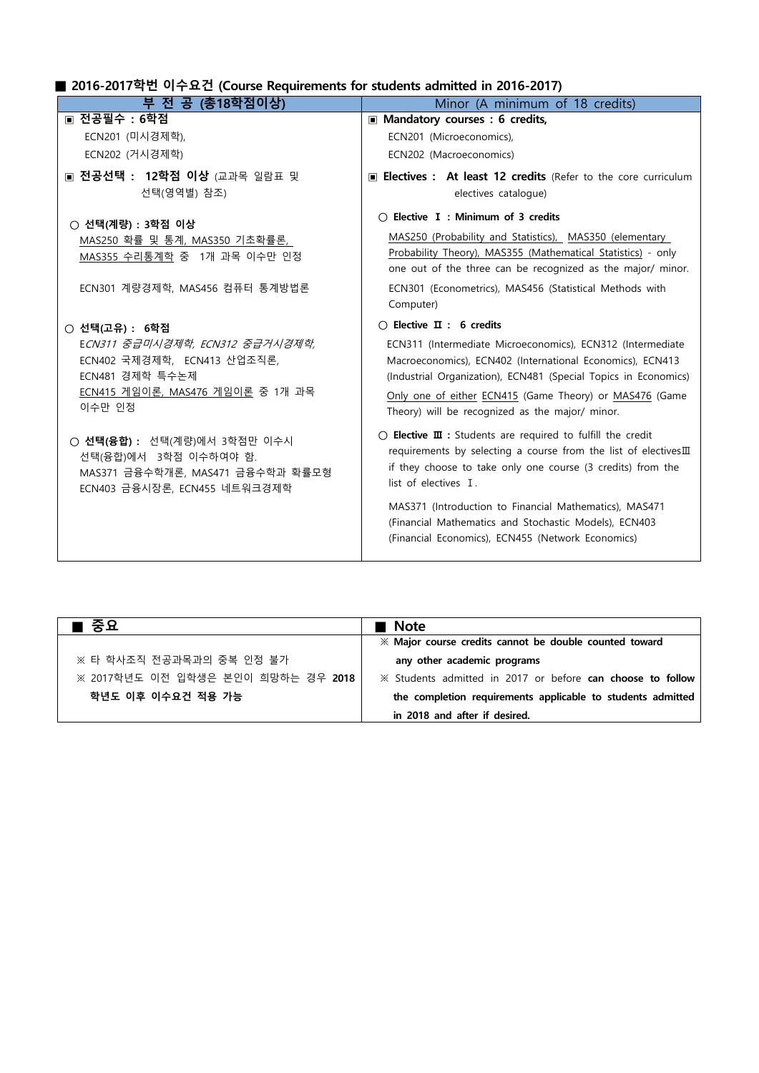## **■ 2016-2017학번 이수요건 (Course Requirements for students admitted in 2016-2017)**

| Mandatory courses : 6 credits,<br>ECN201 (Microeconomics),<br>ECN202 (Macroeconomics)<br>Electives : At least 12 credits (Refer to the core curriculum<br>electives catalogue)<br>$\bigcirc$ Elective I : Minimum of 3 credits<br>MAS250 (Probability and Statistics), MAS350 (elementary<br>Probability Theory), MAS355 (Mathematical Statistics) - only                                                                                                                                                                                                                                                                                                                                                                 |
|---------------------------------------------------------------------------------------------------------------------------------------------------------------------------------------------------------------------------------------------------------------------------------------------------------------------------------------------------------------------------------------------------------------------------------------------------------------------------------------------------------------------------------------------------------------------------------------------------------------------------------------------------------------------------------------------------------------------------|
|                                                                                                                                                                                                                                                                                                                                                                                                                                                                                                                                                                                                                                                                                                                           |
|                                                                                                                                                                                                                                                                                                                                                                                                                                                                                                                                                                                                                                                                                                                           |
| one out of the three can be recognized as the major/ minor.<br>ECN301 (Econometrics), MAS456 (Statistical Methods with<br>Computer)                                                                                                                                                                                                                                                                                                                                                                                                                                                                                                                                                                                       |
| $\bigcirc$ Elective $\mathbf{\Pi}$ : 6 credits<br>ECN311 (Intermediate Microeconomics), ECN312 (Intermediate<br>Macroeconomics), ECN402 (International Economics), ECN413<br>(Industrial Organization), ECN481 (Special Topics in Economics)<br>Only one of either ECN415 (Game Theory) or MAS476 (Game<br>Theory) will be recognized as the major/ minor.<br>$\bigcirc$ Elective $\mathbf{I}$ : Students are required to fulfill the credit<br>requirements by selecting a course from the list of electivesIII<br>if they choose to take only one course (3 credits) from the<br>list of electives T<br>MAS371 (Introduction to Financial Mathematics), MAS471<br>(Financial Mathematics and Stochastic Models), ECN403 |
| (Financial Economics), ECN455 (Network Economics)                                                                                                                                                                                                                                                                                                                                                                                                                                                                                                                                                                                                                                                                         |

| ∎ 중요                               | ■ Note                                                      |
|------------------------------------|-------------------------------------------------------------|
|                                    | * Major course credits cannot be double counted toward      |
| ※ 타 학사조직 전공과목과의 중복 인정 불가           | any other academic programs                                 |
| ※ 2017학년도 이전 입학생은 본인이 희망하는 경우 2018 | X Students admitted in 2017 or before can choose to follow  |
| 학년도 이후 이수요건 적용 가능                  | the completion requirements applicable to students admitted |
|                                    | in 2018 and after if desired.                               |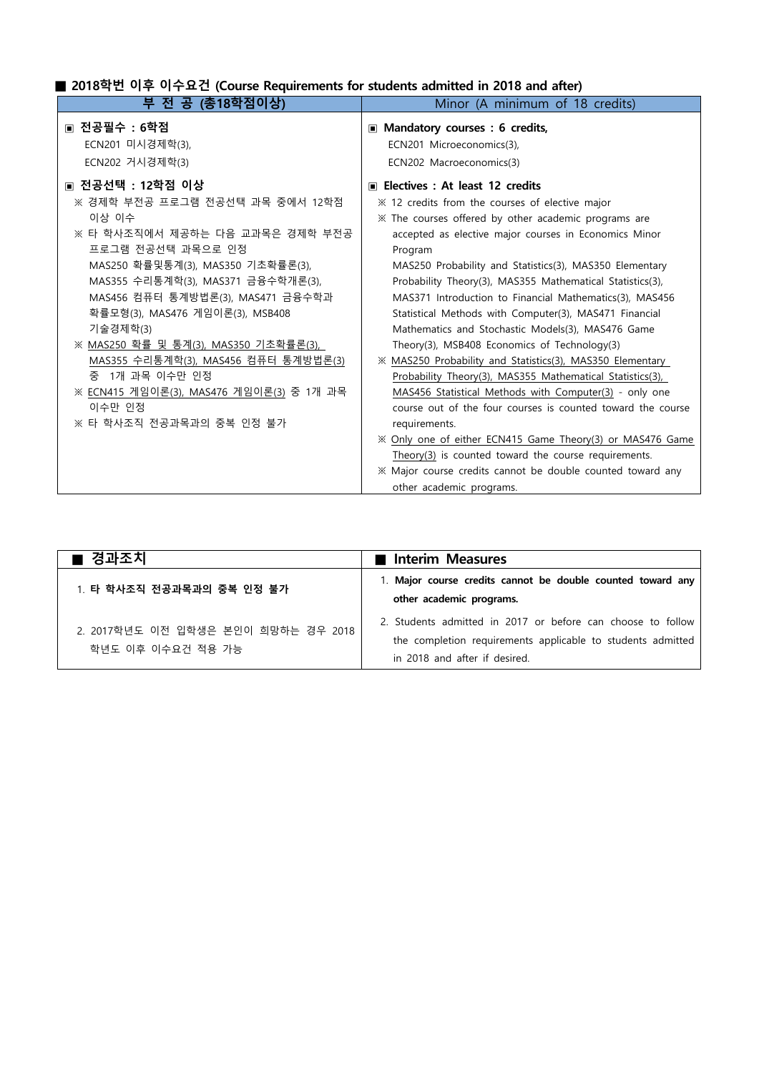## **■ 2018학번 이후 이수요건 (Course Requirements for students admitted in 2018 and after)**

| 부 전 공 (총18학점이상)                                                                                                                                                                                                                                                                                                                                                                                                                                                          | Minor (A minimum of 18 credits)                                                                                                                                                                                                                                                                                                                                                                                                                                                                                                                                                                                                                                                                                                                                                                                                                                                                                                                                                                                                                          |
|--------------------------------------------------------------------------------------------------------------------------------------------------------------------------------------------------------------------------------------------------------------------------------------------------------------------------------------------------------------------------------------------------------------------------------------------------------------------------|----------------------------------------------------------------------------------------------------------------------------------------------------------------------------------------------------------------------------------------------------------------------------------------------------------------------------------------------------------------------------------------------------------------------------------------------------------------------------------------------------------------------------------------------------------------------------------------------------------------------------------------------------------------------------------------------------------------------------------------------------------------------------------------------------------------------------------------------------------------------------------------------------------------------------------------------------------------------------------------------------------------------------------------------------------|
| ▣ 전공필수 : 6학점<br>ECN201 미시경제학(3),<br>ECN202 거시경제학(3)                                                                                                                                                                                                                                                                                                                                                                                                                      | ■ Mandatory courses : 6 credits,<br>ECN201 Microeconomics(3),<br>ECN202 Macroeconomics(3)                                                                                                                                                                                                                                                                                                                                                                                                                                                                                                                                                                                                                                                                                                                                                                                                                                                                                                                                                                |
| ▣ 전공선택 : 12학점 이상<br>※ 경제학 부전공 프로그램 전공선택 과목 중에서 12학점<br>이상 이수<br>※ 타 학사조직에서 제공하는 다음 교과목은 경제학 부전공<br>프로그램 전공선택 과목으로 인정<br>MAS250 확률및통계(3), MAS350 기초확률론(3),<br>MAS355 수리통계학(3), MAS371 금융수학개론(3),<br>MAS456 컴퓨터 통계방법론(3), MAS471 금융수학과<br>확률모형(3), MAS476 게임이론(3), MSB408<br>기술경제학(3)<br>※ MAS250 확률 및 통계(3), MAS350 기초확률론(3),<br>MAS355 수리통계학(3), MAS456 컴퓨터 통계방법론(3)<br>중 1개 과목 이수만 인정<br>※ ECN415 게임이론(3), MAS476 게임이론(3) 중 1개 과목<br>이수만 인정<br>※ 타 학사조직 전공과목과의 중복 인정 불가 | ■ Electives : At least 12 credits<br>im ≭ 12 credits from the courses of elective major<br>X The courses offered by other academic programs are<br>accepted as elective major courses in Economics Minor<br>Program<br>MAS250 Probability and Statistics(3), MAS350 Elementary<br>Probability Theory(3), MAS355 Mathematical Statistics(3),<br>MAS371 Introduction to Financial Mathematics(3), MAS456<br>Statistical Methods with Computer(3), MAS471 Financial<br>Mathematics and Stochastic Models(3), MAS476 Game<br>Theory(3), MSB408 Economics of Technology(3)<br>※ MAS250 Probability and Statistics(3), MAS350 Elementary<br>Probability Theory(3), MAS355 Mathematical Statistics(3),<br>MAS456 Statistical Methods with Computer(3) - only one<br>course out of the four courses is counted toward the course<br>requirements.<br>X Only one of either ECN415 Game Theory(3) or MAS476 Game<br>Theory(3) is counted toward the course requirements.<br>* Major course credits cannot be double counted toward any<br>other academic programs. |

| ■ 경과조치                                                   | Interim Measures                                                                                                                                            |
|----------------------------------------------------------|-------------------------------------------------------------------------------------------------------------------------------------------------------------|
| 1. 타 학사조직 전공과목과의 중복 인정 불가                                | 1. Major course credits cannot be double counted toward any<br>other academic programs.                                                                     |
| 2. 2017학년도 이전 입학생은 본인이 희망하는 경우 2018<br>학년도 이후 이수요건 적용 가능 | 2. Students admitted in 2017 or before can choose to follow<br>the completion requirements applicable to students admitted<br>in 2018 and after if desired. |